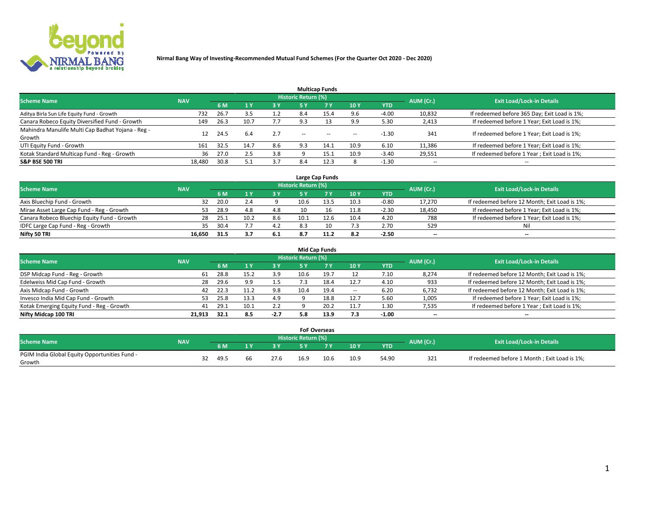

|                                                   |            |      |      |           |                            | <b>Multicap Funds</b> |        |         |                          |                                              |
|---------------------------------------------------|------------|------|------|-----------|----------------------------|-----------------------|--------|---------|--------------------------|----------------------------------------------|
| <b>Scheme Name</b>                                | <b>NAV</b> |      |      |           | <b>Historic Return (%)</b> |                       |        |         | AUM (Cr.)                | <b>Exit Load/Lock-in Details</b>             |
|                                                   |            | 6 M  | 1 Y  | <b>3Y</b> | 5 Y                        | 7Y                    | 10Y    | YTD     |                          |                                              |
| Aditya Birla Sun Life Equity Fund - Growth        | 732        | 26.7 | 3.5  | 1.2       | 8.4                        | 15.4                  | 9.6    | $-4.00$ | 10,832                   | If redeemed before 365 Day; Exit Load is 1%; |
| Canara Robeco Equity Diversified Fund - Growth    | 149        | 26.3 | 10.7 | 7.7       | 9.3                        |                       | 9.9    | 5.30    | 2,413                    | If redeemed before 1 Year; Exit Load is 1%;  |
| Mahindra Manulife Multi Cap Badhat Yojana - Reg - | 12         | 24.5 | 6.4  | 2.7       | $-$                        | $\sim$                | $\sim$ | $-1.30$ | 341                      | If redeemed before 1 Year; Exit Load is 1%;  |
| Growth                                            |            |      |      |           |                            |                       |        |         |                          |                                              |
| UTI Equity Fund - Growth                          | 161        | 32.5 | 14.7 | 8.6       | 9.3                        | 14.1                  | 10.9   | 6.10    | 11,386                   | If redeemed before 1 Year; Exit Load is 1%;  |
| Kotak Standard Multicap Fund - Reg - Growth       | 36         | 27.0 |      | 3.8       |                            | 15.1                  | 10.9   | $-3.40$ | 29,551                   | If redeemed before 1 Year; Exit Load is 1%;  |
| <b>S&amp;P BSE 500 TRI</b>                        | 18.480     | 30.8 | 5.   | 3.7       | 8.4                        | 12.3                  |        | $-1.30$ | $\overline{\phantom{a}}$ | $\overline{\phantom{a}}$                     |

| Large Cap Funds                             |            |      |      |            |                     |      |      |         |           |                                               |  |  |
|---------------------------------------------|------------|------|------|------------|---------------------|------|------|---------|-----------|-----------------------------------------------|--|--|
| <b>Scheme Name</b>                          | <b>NAV</b> |      |      |            | Historic Return (%) |      |      |         | AUM (Cr.) | <b>Exit Load/Lock-in Details</b>              |  |  |
|                                             |            | 6 M  |      | <b>3 Y</b> |                     |      | 10Y  | YTD     |           |                                               |  |  |
| Axis Bluechip Fund - Growth                 | 32         | 20.0 |      |            | 10.6                |      | 10.3 | $-0.80$ | 17,270    | If redeemed before 12 Month; Exit Load is 1%; |  |  |
| Mirae Asset Large Cap Fund - Reg - Growth   | 53.        | 28.9 | 4.8  | 4.8        |                     |      | 11.8 | $-2.30$ | 18,450    | If redeemed before 1 Year; Exit Load is 1%;   |  |  |
| Canara Robeco Bluechip Equity Fund - Growth | 28         | 25.1 | 10.2 | 8.6        | 10.1                | 12.6 | 10.4 | 4.20    | 788       | If redeemed before 1 Year; Exit Load is 1%;   |  |  |
| IDFC Large Cap Fund - Reg - Growth          | 35         | 30.4 |      | 4.2        | 8.3                 | 10   | 7.3  | 2.70    | 529       | Nil                                           |  |  |
| Nifty 50 TRI                                | 16.650     | 31.5 |      | 6.1        | 8.7                 |      | 8.2  | $-2.50$ | $- -$     | $-$                                           |  |  |

| <b>Mid Cap Funds</b>                      |            |      |      |        |                     |      |                          |            |           |                                               |  |  |
|-------------------------------------------|------------|------|------|--------|---------------------|------|--------------------------|------------|-----------|-----------------------------------------------|--|--|
| <b>Scheme Name</b>                        | <b>NAV</b> |      |      |        | Historic Return (%) |      |                          |            | AUM (Cr.) | <b>Exit Load/Lock-in Details</b>              |  |  |
|                                           |            | 6 M  |      | 73 Y   | 5 ۷                 |      | 10Y                      | <b>YTD</b> |           |                                               |  |  |
| DSP Midcap Fund - Reg - Growth            | 61         | 28.8 | 15.7 | 3.9    | 10.6                |      |                          | 7.10       | 8,274     | If redeemed before 12 Month; Exit Load is 1%; |  |  |
| Edelweiss Mid Cap Fund - Growth           | 28         | 29.6 | 9.9  | 1.5    |                     |      | 12.7                     | 4.10       | 933       | If redeemed before 12 Month; Exit Load is 1%; |  |  |
| Axis Midcap Fund - Growth                 | 42         | 22.3 |      | 9.8    | 10.4                | 19.4 | $\overline{\phantom{a}}$ | 6.20       | 6,732     | If redeemed before 12 Month; Exit Load is 1%; |  |  |
| Invesco India Mid Cap Fund - Growth       | 53         | 25.8 |      | 4.9    |                     | 18.8 | 12.7                     | 5.60       | 1,005     | If redeemed before 1 Year; Exit Load is 1%;   |  |  |
| Kotak Emerging Equity Fund - Reg - Growth | 41         | 29.1 |      | 2.2    |                     |      | 11.7                     | 1.30       | 7,535     | If redeemed before 1 Year; Exit Load is 1%;   |  |  |
| Nifty Midcap 100 TRI                      | 21.913     | 32.1 | 8.5  | $-2.7$ | 5.8                 | 13.9 | 7.3                      | $-1.00$    | $- -$     | $\overline{\phantom{a}}$                      |  |  |

|                                               |            |    |      |    |      | <b>FoF Overseas</b> |                |      |            |                                  |                                              |
|-----------------------------------------------|------------|----|------|----|------|---------------------|----------------|------|------------|----------------------------------|----------------------------------------------|
| <b>Scheme Name</b>                            | <b>NAV</b> |    |      |    |      | Historic Return (%) |                |      | AUM (Cr.)  | <b>Exit Load/Lock-in Details</b> |                                              |
|                                               |            |    | 6 M  |    |      | <b>EV</b>           | 7 <sub>2</sub> | 10Y  | <b>YTD</b> |                                  |                                              |
| PGIM India Global Equity Opportunities Fund - |            |    |      | 66 | 27.6 | 16.9                |                |      |            |                                  |                                              |
| Growth                                        |            | 32 | 49.5 |    |      |                     | 10.6           | 10.9 | 54.90      | 321                              | If redeemed before 1 Month; Exit Load is 1%; |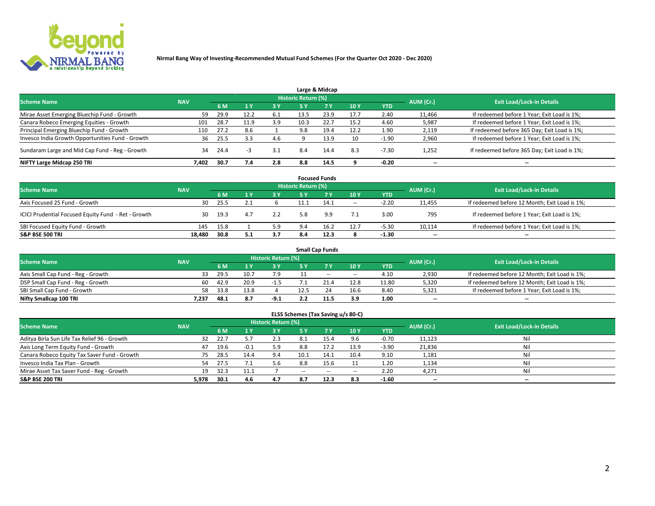

|                                                  |            |      |      |     |                            | Large & Midcap |      |            |           |                                              |
|--------------------------------------------------|------------|------|------|-----|----------------------------|----------------|------|------------|-----------|----------------------------------------------|
| <b>Scheme Name</b>                               | <b>NAV</b> |      |      |     | <b>Historic Return (%)</b> |                |      |            | AUM (Cr.) | <b>Exit Load/Lock-in Details</b>             |
|                                                  |            | 6 M  |      | 3 Y | 5 Y                        | 7 Y            | 10Y  | <b>YTD</b> |           |                                              |
| Mirae Asset Emerging Bluechip Fund - Growth      | 59         | 29.9 | 12.2 | 6.1 | 13.5                       | 23.9           | 17.7 | 2.40       | 11,466    | If redeemed before 1 Year; Exit Load is 1%;  |
| Canara Robeco Emerging Equities - Growth         | 101        | 28.7 | 11.9 | 3.9 | 10.3                       | 22.7           | 15.2 | 4.60       | 5,987     | If redeemed before 1 Year; Exit Load is 1%;  |
| Principal Emerging Bluechip Fund - Growth        | 110        | 27.2 | 8.6  |     | 9.8                        | 19.4           | 12.2 | 1.90       | 2,119     | If redeemed before 365 Day; Exit Load is 1%; |
| Invesco India Growth Opportunities Fund - Growth | 36         | 25.5 |      | 4.6 |                            | 13.9           | 10   | $-1.90$    | 2,960     | If redeemed before 1 Year; Exit Load is 1%;  |
| Sundaram Large and Mid Cap Fund - Reg - Growth   | 34         | 24.4 | -3   | 3.1 | 8.4                        | 14.4           | 8.3  | $-7.30$    | 1,252     | If redeemed before 365 Day; Exit Load is 1%; |
| NIFTY Large Midcap 250 TRI                       | 7.402      | 30.7 | 7.4  | 2.8 | 8.8                        | 14.5           |      | $-0.20$    | $- -$     | $\overline{\phantom{a}}$                     |

| <b>Focused Funds</b>                                |            |      |     |           |                            |           |       |            |                          |                                               |  |
|-----------------------------------------------------|------------|------|-----|-----------|----------------------------|-----------|-------|------------|--------------------------|-----------------------------------------------|--|
| <b>Scheme Name</b>                                  | <b>NAV</b> |      |     |           | <b>Historic Return (%)</b> |           |       |            | AUM (Cr.)                | <b>Exit Load/Lock-in Details</b>              |  |
|                                                     |            | 6 M  |     | <b>3Y</b> | <b>5 Y</b>                 | <b>7Y</b> | 10 Y  | <b>YTD</b> |                          |                                               |  |
| Axis Focused 25 Fund - Growth                       | 30         | 25.5 |     |           | 11.1                       | 14.1      | $\!-$ | $-2.20$    | 11,455                   | If redeemed before 12 Month; Exit Load is 1%; |  |
| ICICI Prudential Focused Equity Fund - Ret - Growth | 30         | 19.3 | 4.7 | 2.2       | 5.8                        | 9.9       | 7.1   | 3.00       | 795                      | If redeemed before 1 Year; Exit Load is 1%;   |  |
| SBI Focused Equity Fund - Growth                    | 145        | 15.8 |     | 5.9       | 9.4                        | 16.2      | 12.7  | $-5.30$    | 10,114                   | If redeemed before 1 Year; Exit Load is 1%;   |  |
| <b>S&amp;P BSE 500 TRI</b>                          | 18.480     | 30.8 | 5.1 | 3.7       | 8.4                        | 12.3      | 8     | $-1.30$    | $\overline{\phantom{m}}$ | $- -$                                         |  |

|                                    |            |      |      |                            |      | <b>Small Cap Funds</b> |                          |       |           |                                               |
|------------------------------------|------------|------|------|----------------------------|------|------------------------|--------------------------|-------|-----------|-----------------------------------------------|
| <b>Scheme Name</b>                 | <b>NAV</b> |      |      | <b>Historic Return (%)</b> |      |                        |                          |       | AUM (Cr.) | <b>Exit Load/Lock-in Details</b>              |
|                                    |            | 6 M  |      | 3 Y                        |      |                        | 10Y                      | YTD   |           |                                               |
| Axis Small Cap Fund - Reg - Growth | 33.        | 29.5 |      | 7.9                        |      | $- -$                  | $\overline{\phantom{a}}$ | 4.10  | 2,930     | If redeemed before 12 Month; Exit Load is 1%; |
| DSP Small Cap Fund - Reg - Growth  | 60         | 42.9 | 20.9 |                            |      | 21.4                   | 12.8                     | 11.80 | 5,320     | If redeemed before 12 Month; Exit Load is 1%; |
| SBI Small Cap Fund - Growth        | 58         | 33.8 | 13.8 |                            | 12.5 |                        | 16.6                     | 8.40  | 5,321     | If redeemed before 1 Year; Exit Load is 1%;   |
| Nifty Smallcap 100 TRI             | 7.237      | 48.1 | 8.7  | $-9.1$                     |      | 11.5                   | 3.9                      | 1.00  | $- -$     | $\overline{\phantom{a}}$                      |

| ELSS Schemes (Tax Saving u/s 80-C) |  |  |  |  |
|------------------------------------|--|--|--|--|
|------------------------------------|--|--|--|--|

|                                              |            |      |        |                            |      | $\ddot{\phantom{1}}$ |                          |            |                          |                                  |
|----------------------------------------------|------------|------|--------|----------------------------|------|----------------------|--------------------------|------------|--------------------------|----------------------------------|
| <b>Scheme Name</b>                           | <b>NAV</b> |      |        | <b>Historic Return (%)</b> |      |                      |                          |            | AUM (Cr.)                | <b>Exit Load/Lock-in Details</b> |
|                                              |            | 6 M  |        | <b>3Y</b>                  | 5 Y  | 7 <sub>V</sub>       | 10Y                      | <b>YTD</b> |                          |                                  |
| Aditya Birla Sun Life Tax Relief 96 - Growth | 32         | 22.7 |        | 2.3                        | -8.1 | 15.4                 | 9.6                      | $-0.70$    | 11,123                   | Nil                              |
| Axis Long Term Equity Fund - Growth          | 47         | 19.6 | $-0.1$ | 5.9                        | 8.8  | 17.2                 | 13.9                     | $-3.90$    | 21,836                   | Nil                              |
| Canara Robeco Equity Tax Saver Fund - Growth | 75         | 28.5 | 14.4   | 9.4                        | 10.1 | 14.1                 | 10.4                     | 9.10       | 1,181                    | Nil                              |
| Invesco India Tax Plan - Growth              | 54         | 27.5 |        | 5.6                        | 8.8  | 15.6                 |                          | 1.20       | 1,134                    | Nil                              |
| Mirae Asset Tax Saver Fund - Reg - Growth    | 19         | 32.3 |        |                            | $-$  | $\sim$               | $\overline{\phantom{a}}$ | 2.20       | 4,271                    | Nil                              |
| S&P BSE 200 TRI                              | 5,978      | 30.1 | 4.6    | 4.7                        | 8.7  | 12.3                 | 8.3                      | $-1.60$    | $\hspace{0.05cm} \ldots$ | $\overline{\phantom{a}}$         |
|                                              |            |      |        |                            |      |                      |                          |            |                          |                                  |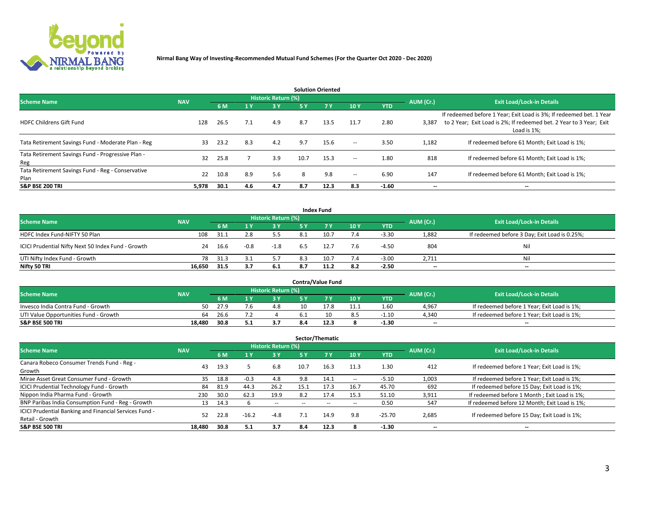

| <b>Solution Oriented</b>                                  |            |      |       |                     |      |            |                          |            |                          |                                                                                                                                                           |  |  |
|-----------------------------------------------------------|------------|------|-------|---------------------|------|------------|--------------------------|------------|--------------------------|-----------------------------------------------------------------------------------------------------------------------------------------------------------|--|--|
| <b>Scheme Name</b>                                        | <b>NAV</b> |      |       | Historic Return (%) |      |            |                          |            | AUM (Cr.)                | <b>Exit Load/Lock-in Details</b>                                                                                                                          |  |  |
|                                                           |            | 6 M  | $-1Y$ | 3 Y                 | 5 Y  | <b>7 Y</b> | 10Y                      | <b>YTD</b> |                          |                                                                                                                                                           |  |  |
| <b>HDFC Childrens Gift Fund</b>                           | 128        | 26.5 | 7.1   | 4.9                 | 8.7  | 13.5       | 11.7                     | 2.80       | 3,387                    | If redeemed before 1 Year; Exit Load is 3%; If redeemed bet. 1 Year<br>to 2 Year; Exit Load is 2%; If redeemed bet. 2 Year to 3 Year; Exit<br>Load is 1%; |  |  |
| Tata Retirement Savings Fund - Moderate Plan - Reg        | 33         | 23.2 | 8.3   | 4.2                 | 9.7  | 15.6       | $\overline{\phantom{a}}$ | 3.50       | 1,182                    | If redeemed before 61 Month; Exit Load is 1%;                                                                                                             |  |  |
| Tata Retirement Savings Fund - Progressive Plan -<br>Reg  | 32         | 25.8 |       | 3.9                 | 10.7 | 15.3       | $\overline{\phantom{a}}$ | 1.80       | 818                      | If redeemed before 61 Month: Exit Load is 1%:                                                                                                             |  |  |
| Tata Retirement Savings Fund - Reg - Conservative<br>Plan | 22         | 10.8 | 8.9   | 5.6                 | 8    | 9.8        | $\overline{\phantom{a}}$ | 6.90       | 147                      | If redeemed before 61 Month; Exit Load is 1%;                                                                                                             |  |  |
| <b>S&amp;P BSE 200 TRI</b>                                | 5.978      | 30.1 | 4.6   | 4.7                 | 8.7  | 12.3       | 8.3                      | $-1.60$    | $\overline{\phantom{a}}$ | $\overline{\phantom{a}}$                                                                                                                                  |  |  |

| <b>Index Fund</b>                                  |            |      |        |                            |     |           |     |            |           |                                               |  |
|----------------------------------------------------|------------|------|--------|----------------------------|-----|-----------|-----|------------|-----------|-----------------------------------------------|--|
| <b>Scheme Name</b>                                 | <b>NAV</b> |      |        | <b>Historic Return (%)</b> |     |           |     |            | AUM (Cr.) | <b>Exit Load/Lock-in Details</b>              |  |
|                                                    |            | 6 M  |        | <b>3Y</b>                  | 5 Y | <b>7Y</b> | 10Y | <b>YTD</b> |           |                                               |  |
| HDFC Index Fund-NIFTY 50 Plan                      | 108        | 31.7 | 2.8    | 5.5                        | 8.1 | 10.7      | 7.4 | $-3.30$    | 1,882     | If redeemed before 3 Day; Exit Load is 0.25%; |  |
| ICICI Prudential Nifty Next 50 Index Fund - Growth | 24         | 16.6 | $-0.8$ | $-1.8$                     |     | 12.7      | 7.6 | $-4.50$    | 804       | Nil                                           |  |
| UTI Nifty Index Fund - Growth                      | 78         | 31.3 |        | 5.7                        | 8.3 | 10.7      | 7.4 | $-3.00$    | 2,711     | Nil                                           |  |
| Nifty 50 TRI                                       | 16,650     | 31.5 | 3.7    | 6.1                        | 8.7 | 11.2      | 8.2 | $-2.50$    | $- -$     | $-$                                           |  |

| <b>Contra/Value Fund</b>              |            |      |  |                                  |        |      |      |            |           |                                             |  |
|---------------------------------------|------------|------|--|----------------------------------|--------|------|------|------------|-----------|---------------------------------------------|--|
| <b>Scheme Name</b>                    | <b>NAV</b> |      |  | Historic Return (%) <sup> </sup> |        |      |      |            | AUM (Cr.) | <b>Exit Load/Lock-in Details</b>            |  |
|                                       |            | 6 M  |  | 3 Y                              |        | 7 V  | 10Y  | <b>YTD</b> |           |                                             |  |
| Invesco India Contra Fund - Growth    | 50         | 27.9 |  | 4.8                              |        | 17.8 | 11.1 | 1.60       | 4,967     | If redeemed before 1 Year; Exit Load is 1%; |  |
| UTI Value Opportunities Fund - Growth | 64         | 26.6 |  |                                  |        |      | 8.5  | $-1.10$    | 4.340     | If redeemed before 1 Year; Exit Load is 1%; |  |
| <b>S&amp;P BSE 500 TRI</b>            | 18.480     | 30.8 |  | 3.7                              | ـ 20.4 | 12.3 |      | $-1.30$    | $-$       | $- -$                                       |  |

| Sector/Thematic                                        |            |      |                       |                          |           |                          |      |            |           |                                               |  |
|--------------------------------------------------------|------------|------|-----------------------|--------------------------|-----------|--------------------------|------|------------|-----------|-----------------------------------------------|--|
| <b>Scheme Name</b>                                     | <b>NAV</b> |      |                       | Historic Return (%)      |           |                          |      |            | AUM (Cr.) | <b>Exit Load/Lock-in Details</b>              |  |
|                                                        |            | 6 M  | $\sqrt{1}$ $\sqrt{2}$ | 3 Y                      | <b>5Y</b> | 7 Y                      | 10Y  | <b>YTD</b> |           |                                               |  |
| Canara Robeco Consumer Trends Fund - Reg -             | 43         | 19.3 |                       | 6.8                      | 10.7      | 16.3                     | 11.3 | 1.30       | 412       | If redeemed before 1 Year; Exit Load is 1%;   |  |
| Growth                                                 |            |      |                       |                          |           |                          |      |            |           |                                               |  |
| Mirae Asset Great Consumer Fund - Growth               | 35         | 18.8 | $-0.3$                | 4.8                      | 9.8       | 14.1                     | --   | $-5.10$    | 1,003     | If redeemed before 1 Year; Exit Load is 1%;   |  |
| ICICI Prudential Technology Fund - Growth              | 84         | 81.9 | 44.3                  | 26.2                     | 15.1      | 17.3                     | 16.7 | 45.70      | 692       | If redeemed before 15 Day; Exit Load is 1%;   |  |
| Nippon India Pharma Fund - Growth                      | 230        | 30.0 | 62.3                  | 19.9                     | 8.2       | 17.4                     | 15.3 | 51.10      | 3,911     | If redeemed before 1 Month; Exit Load is 1%;  |  |
| BNP Paribas India Consumption Fund - Reg - Growth      | 13         | 14.3 |                       | $\overline{\phantom{a}}$ | --        | $\overline{\phantom{a}}$ | --   | 0.50       | 547       | If redeemed before 12 Month; Exit Load is 1%; |  |
| ICICI Prudential Banking and Financial Services Fund - | 52         | 22.8 | $-16.2$               | $-4.8$                   |           | 14.9                     | 9.8  | $-25.70$   | 2,685     | If redeemed before 15 Day; Exit Load is 1%;   |  |
| Retail - Growth                                        |            |      |                       |                          |           |                          |      |            |           |                                               |  |
| <b>S&amp;P BSE 500 TRI</b>                             | 18.480     | 30.8 | - 5.1                 | 3.7                      | 8.4       | 12.3                     |      | $-1.30$    | --        | $- -$                                         |  |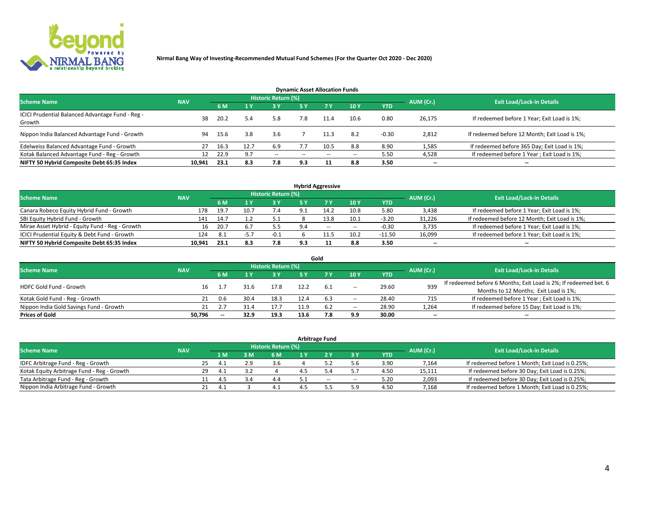

|                                                            |            |      |      |                     | <b>Dynamic Asset Allocation Funds</b> |           |       |            |           |                                               |
|------------------------------------------------------------|------------|------|------|---------------------|---------------------------------------|-----------|-------|------------|-----------|-----------------------------------------------|
| <b>Scheme Name</b>                                         | <b>NAV</b> |      |      | Historic Return (%) |                                       |           |       |            | AUM (Cr.) | <b>Exit Load/Lock-in Details</b>              |
|                                                            |            | 6 M  |      | 3 Y                 | <b>5Y</b>                             | <b>7Y</b> | 10Y   | <b>YTD</b> |           |                                               |
| ICICI Prudential Balanced Advantage Fund - Reg -<br>Growth | 38         | 20.2 | 5.4  | 5.8                 | 7.8                                   |           | 10.6  | 0.80       | 26,175    | If redeemed before 1 Year; Exit Load is 1%;   |
| Nippon India Balanced Advantage Fund - Growth              | 94         | 15.6 | 3.8  | 3.6                 |                                       | 11.3      | 8.2   | $-0.30$    | 2,812     | If redeemed before 12 Month; Exit Load is 1%; |
| Edelweiss Balanced Advantage Fund - Growth                 | 27         | 16.3 | 12.7 | 6.9                 |                                       | 10.5      | 8.8   | 8.90       | 1,585     | If redeemed before 365 Day; Exit Load is 1%;  |
| Kotak Balanced Advantage Fund - Reg - Growth               | 12         | 22.9 | 9.7  | $\sim$              | $\sim$ $\sim$                         | $-$       | $- -$ | 5.50       | 4,528     | If redeemed before 1 Year; Exit Load is 1%;   |
| NIFTY 50 Hybrid Composite Debt 65:35 Index                 | 10,941     | 23.1 | 8.3  | 7.8                 | 9.3                                   |           | 8.8   | 3.50       | --        | --                                            |

| <b>Hybrid Aggressive</b>                        |            |           |                                  |        |     |       |        |            |        |                                               |  |  |  |
|-------------------------------------------------|------------|-----------|----------------------------------|--------|-----|-------|--------|------------|--------|-----------------------------------------------|--|--|--|
| <b>Scheme Name</b>                              | <b>NAV</b> | AUM (Cr.) | <b>Exit Load/Lock-in Details</b> |        |     |       |        |            |        |                                               |  |  |  |
|                                                 |            | 6 M       |                                  | 3 Y    |     |       | 10Y    | <b>YTD</b> |        |                                               |  |  |  |
| Canara Robeco Equity Hybrid Fund - Growth       | 178        | 19.7      | 10.7                             | 7.4    |     | 14.2  | 10.8   | 5.80       | 3,438  | If redeemed before 1 Year; Exit Load is 1%;   |  |  |  |
| SBI Equity Hybrid Fund - Growth                 | 141        | 14.7      |                                  | 5.1    |     | 3.8ء  | 10.1   | $-3.20$    | 31,226 | If redeemed before 12 Month; Exit Load is 1%; |  |  |  |
| Mirae Asset Hybrid - Equity Fund - Reg - Growth | 16         | 20.7      | 6.                               |        | 9.4 | $- -$ | $\sim$ | $-0.30$    | 3,735  | If redeemed before 1 Year; Exit Load is 1%;   |  |  |  |
| ICICI Prudential Equity & Debt Fund - Growth    | 124        | 8.1       | י כ-                             | $-0.1$ |     |       | 10.2   | $-11.50$   | 16,099 | If redeemed before 1 Year; Exit Load is 1%;   |  |  |  |
| NIFTY 50 Hybrid Composite Debt 65:35 Index      | 10,941     | 23.1      | 8.3                              | 7.8    | 9.3 |       | 8.8    | 3.50       | $- -$  | $\overline{\phantom{a}}$                      |  |  |  |

|                                         |            |                          |      |                            |      | Gold |       |            |           |                                                                  |
|-----------------------------------------|------------|--------------------------|------|----------------------------|------|------|-------|------------|-----------|------------------------------------------------------------------|
| <b>Scheme Name</b>                      | <b>NAV</b> |                          |      | <b>Historic Return (%)</b> |      |      |       |            | AUM (Cr.) | <b>Exit Load/Lock-in Details</b>                                 |
|                                         |            | 6 M                      |      | 3 Y                        | 5 ٧  |      | 10Y   | <b>YTD</b> |           |                                                                  |
| <b>HDFC Gold Fund - Growth</b>          | 16         |                          | 31.6 | 17.8                       |      | 6.1  |       | 29.60      | 939       | If redeemed before 6 Months; Exit Load is 2%; If redeemed bet. 6 |
|                                         |            |                          |      |                            |      |      | $\!-$ |            |           | Months to 12 Months; Exit Load is 1%;                            |
| Kotak Gold Fund - Reg - Growth          |            | 0.6                      | 30.4 | 18.3                       |      |      | $\!-$ | 28.40      | 715       | If redeemed before 1 Year; Exit Load is 1%;                      |
| Nippon India Gold Savings Fund - Growth | 21         |                          | 31.4 | 17.7                       | 11.9 | 6.2  | $\!-$ | 28.90      | 1,264     | If redeemed before 15 Day; Exit Load is 1%;                      |
| <b>Prices of Gold</b>                   | 50.796     | $\overline{\phantom{a}}$ | 32.9 | 19.3                       | 13.6 | 7.8  | 9.9   | 30.00      | --        | $\overline{\phantom{a}}$                                         |

| <b>Arbitrage Fund</b>                      |            |           |                                  |     |     |     |     |       |            |        |                                                 |  |  |
|--------------------------------------------|------------|-----------|----------------------------------|-----|-----|-----|-----|-------|------------|--------|-------------------------------------------------|--|--|
| <b>Scheme Name</b>                         | <b>NAV</b> | AUM (Cr.) | <b>Exit Load/Lock-in Details</b> |     |     |     |     |       |            |        |                                                 |  |  |
|                                            |            |           | 1 M                              |     | 6 M | 1 V |     | ЗY    | <b>YTD</b> |        |                                                 |  |  |
| IDFC Arbitrage Fund - Reg - Growth         |            | 25        | 4.1                              | າ ດ | 3.6 |     |     |       | 3.90       | 7,164  | If redeemed before 1 Month; Exit Load is 0.25%; |  |  |
| Kotak Equity Arbitrage Fund - Reg - Growth |            | 29        | 4.1                              |     |     |     |     |       | 4.50       | 15,111 | If redeemed before 30 Day; Exit Load is 0.25%;  |  |  |
| Tata Arbitrage Fund - Reg - Growth         |            |           |                                  |     | 4.4 |     | $-$ | $\!-$ | 5.20       | 2,093  | If redeemed before 30 Day; Exit Load is 0.25%;  |  |  |
| Nippon India Arbitrage Fund - Growth       |            |           | 4.1                              |     |     |     |     |       | 4.50       | 7,168  | If redeemed before 1 Month; Exit Load is 0.25%; |  |  |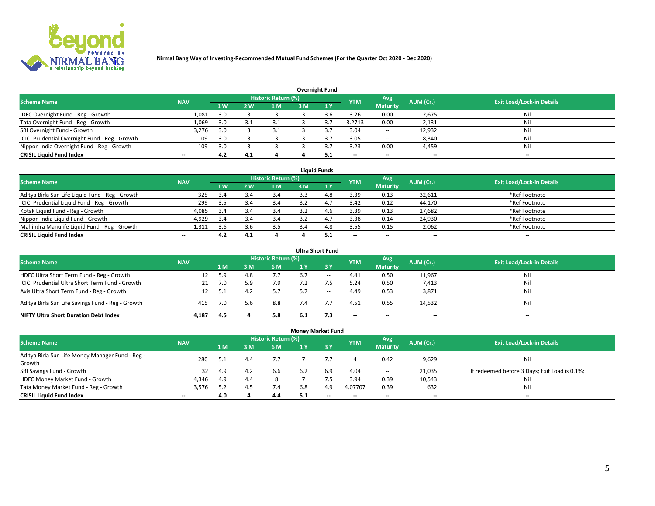

|                                                |                          |     |     |                            |     | <b>Overnight Fund</b> |            |                          |           |                                  |
|------------------------------------------------|--------------------------|-----|-----|----------------------------|-----|-----------------------|------------|--------------------------|-----------|----------------------------------|
| <b>Scheme Name</b>                             | <b>NAV</b>               |     |     | <b>Historic Return (%)</b> |     |                       | <b>YTM</b> | Avg                      | AUM (Cr.) | <b>Exit Load/Lock-in Details</b> |
|                                                |                          | 1W  | 2W  | 1 M                        | 3 M |                       |            | <b>Maturity</b>          |           |                                  |
| IDFC Overnight Fund - Reg - Growth             | 1,081                    | 3.0 |     |                            |     |                       | 3.26       | 0.00                     | 2,675     | Nil                              |
| Tata Overnight Fund - Reg - Growth             | 1,069                    | 3.0 |     |                            |     |                       | 3.2713     | 0.00                     | 2,131     | Nil                              |
| SBI Overnight Fund - Growth                    | 3,276                    | 3.0 |     |                            |     |                       | 3.04       | $\overline{\phantom{a}}$ | 12,932    | Nil                              |
| ICICI Prudential Overnight Fund - Reg - Growth | 109                      | 3.0 |     |                            |     |                       | 3.05       | $\overline{\phantom{a}}$ | 8,340     | Nil                              |
| Nippon India Overnight Fund - Reg - Growth     | 109                      | 3.0 |     |                            |     |                       | 3.23       | 0.00                     | 4,459     | Nil                              |
| <b>CRISIL Liquid Fund Index</b>                | $\overline{\phantom{a}}$ | 4.2 | 4.1 |                            |     | 5.1                   | $- -$      | $- -$                    | $- -$     | $\overline{\phantom{a}}$         |

| <b>Liquid Funds</b>                              |                          |     |     |                            |     |     |                          |                 |           |                                  |  |  |  |
|--------------------------------------------------|--------------------------|-----|-----|----------------------------|-----|-----|--------------------------|-----------------|-----------|----------------------------------|--|--|--|
| <b>Scheme Name</b>                               | <b>NAV</b>               |     |     | <b>Historic Return (%)</b> |     |     | <b>YTM</b>               | Avg             | AUM (Cr.) | <b>Exit Load/Lock-in Details</b> |  |  |  |
|                                                  |                          | 1W  | 2 W | 1 <sub>M</sub>             | 3M  | 1Y  |                          | <b>Maturity</b> |           |                                  |  |  |  |
| Aditya Birla Sun Life Liquid Fund - Reg - Growth | 325                      | 3.4 |     | 3.4                        | 3.3 | 4.8 | 3.39                     | 0.13            | 32,611    | *Ref Footnote                    |  |  |  |
| ICICI Prudential Liquid Fund - Reg - Growth      | 299                      | 3.5 | 3.4 | 3.4                        | 3.2 | 4., | 3.42                     | 0.12            | 44,170    | *Ref Footnote                    |  |  |  |
| Kotak Liquid Fund - Reg - Growth                 | 4,085                    | 3.4 |     | 3.4                        |     | 4.b | 3.39                     | 0.13            | 27,682    | *Ref Footnote                    |  |  |  |
| Nippon India Liquid Fund - Growth                | 4,929                    | 3.4 |     | 3.4                        |     | 4., | 3.38                     | 0.14            | 24,930    | *Ref Footnote                    |  |  |  |
| Mahindra Manulife Liquid Fund - Reg - Growth     | 1.311                    | 3.6 |     | 3.5                        |     | 4.8 | 3.55                     | 0.15            | 2,062     | *Ref Footnote                    |  |  |  |
| <b>CRISIL Liquid Fund Index</b>                  | $\overline{\phantom{a}}$ | 4.2 | 4.1 |                            |     |     | $\overline{\phantom{a}}$ | $- -$           | $- -$     | $\overline{\phantom{a}}$         |  |  |  |

|                                                   |            |     |     |                            |     | <b>Ultra Short Fund</b> |            |                 |           |                                  |
|---------------------------------------------------|------------|-----|-----|----------------------------|-----|-------------------------|------------|-----------------|-----------|----------------------------------|
| <b>Scheme Name</b>                                | <b>NAV</b> |     |     | <b>Historic Return (%)</b> |     |                         | <b>YTM</b> | Avg             | AUM (Cr.) | <b>Exit Load/Lock-in Details</b> |
|                                                   |            | 1 M | 3 M | 6 M                        | 1 Y | $-3V$                   |            | <b>Maturity</b> |           |                                  |
| HDFC Ultra Short Term Fund - Reg - Growth         |            | 5.9 | 4.8 | 7.7                        | 6.7 | $\sim$                  | 4.41       | 0.50            | 11,967    | Nil                              |
| ICICI Prudential Ultra Short Term Fund - Growth   | 21         |     |     | 7.9                        |     |                         | 5.24       | 0.50            | 7,413     | Nil                              |
| Axis Ultra Short Term Fund - Reg - Growth         |            |     | 4.  | 5.7                        | 5.7 | $-$                     | 4.49       | 0.53            | 3,871     | Nil                              |
| Aditya Birla Sun Life Savings Fund - Reg - Growth | 415        | 7.0 | 5.6 | 8.8                        | 7.4 |                         | 4.51       | 0.55            | 14,532    | Nil                              |
| <b>NIFTY Ultra Short Duration Debt Index</b>      | 4.187      | 4.5 |     | 5.8                        | 6.1 | 7.3                     | $- -$      | $- -$           | $- -$     | $-$                              |

|                                                  |            |     |     |                            | <b>Money Market Fund</b> |              |                          |                          |           |                                               |
|--------------------------------------------------|------------|-----|-----|----------------------------|--------------------------|--------------|--------------------------|--------------------------|-----------|-----------------------------------------------|
| <b>Scheme Name</b>                               | <b>NAV</b> |     |     | <b>Historic Return (%)</b> |                          |              | <b>YTM</b>               | Avg                      | AUM (Cr.) | <b>Exit Load/Lock-in Details</b>              |
|                                                  |            | 1 M | ោះ  | 6 M                        | 1 Y                      | $\sqrt{3}$ Y |                          | <b>Maturity</b>          |           |                                               |
| Aditya Birla Sun Life Money Manager Fund - Reg - | 280        |     | 4.4 | 7.7                        |                          |              |                          | 0.42                     | 9,629     | Nil                                           |
| Growth                                           |            |     |     |                            |                          |              |                          |                          |           |                                               |
| SBI Savings Fund - Growth                        | 32         | 4.9 | 4.2 | 6.6                        | 6.2                      | 6.9          | 4.04                     | $\overline{\phantom{a}}$ | 21,035    | If redeemed before 3 Days; Exit Load is 0.1%; |
| HDFC Money Market Fund - Growth                  | 4,346      | 4.9 | 4.4 |                            |                          |              | 3.94                     | 0.39                     | 10,543    | Nil                                           |
| Tata Money Market Fund - Reg - Growth            | 3,576      | 5.2 |     | 7.4                        | 6.8                      | 4.9          | 4.07707                  | 0.39                     | 632       | Nil                                           |
| <b>CRISIL Liquid Fund Index</b>                  | $- -$      | 4.0 |     | 4.4                        | 5.1                      | $-$          | $\overline{\phantom{a}}$ | $- -$                    | $- -$     | $-$                                           |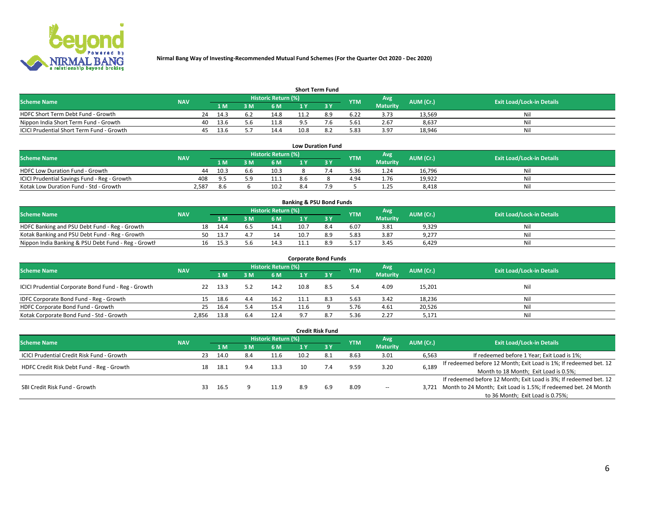

| <b>Short Term Fund</b>                    |            |    |      |     |                            |      |     |            |                 |           |                                  |  |  |  |
|-------------------------------------------|------------|----|------|-----|----------------------------|------|-----|------------|-----------------|-----------|----------------------------------|--|--|--|
| <b>Scheme Name</b>                        | <b>NAV</b> |    |      |     | <b>Historic Return (%)</b> |      |     | <b>YTM</b> | Avg             | AUM (Cr.) | <b>Exit Load/Lock-in Details</b> |  |  |  |
|                                           |            |    | 1 M. | 3 M | 6 M                        | 1 V  |     |            | <b>Maturity</b> |           |                                  |  |  |  |
| HDFC Short Term Debt Fund - Growth        |            | 24 | 14.3 | 6.2 | 14.8                       | 11.2 | 8.9 | 6.22       | 3.73            | 13.569    | Nil                              |  |  |  |
| Nippon India Short Term Fund - Growth     |            | 40 | 13.6 |     | 11.8                       |      |     | 5.61       | 2.67            | 8,637     | Nil                              |  |  |  |
| ICICI Prudential Short Term Fund - Growth |            | 45 | 13.6 |     | 14.4                       | 10.8 |     | 5.83       | 3.97            | 18.946    | Nil                              |  |  |  |

| <b>Low Duration Fund</b>                     |            |      |     |                     |     |  |            |                 |           |                                  |  |  |  |
|----------------------------------------------|------------|------|-----|---------------------|-----|--|------------|-----------------|-----------|----------------------------------|--|--|--|
| <b>Scheme Name</b>                           | <b>NAV</b> |      |     | Historic Return (%) |     |  | <b>YTM</b> | Avg             | AUM (Cr.) | <b>Exit Load/Lock-in Details</b> |  |  |  |
|                                              |            | 1 M  |     | <b>6 M</b>          |     |  |            | <b>Maturity</b> |           |                                  |  |  |  |
| <b>HDFC Low Duration Fund - Growth</b>       | 44         | 10.3 | b.b | 10.3                |     |  | 5.36       | 1.24            | 16.796    | Nil                              |  |  |  |
| ICICI Prudential Savings Fund - Reg - Growth | 408        | 95 S |     | 11.1                | 8.6 |  | 4.94       | 1.76            | 19,922    | Nil                              |  |  |  |
| Kotak Low Duration Fund - Std - Growth       | 2.587      | 8.6  |     | 10.2                | 8.4 |  |            | 1.25            | 8,418     | Nil                              |  |  |  |

| <b>Banking &amp; PSU Bond Funds</b>                 |            |    |       |    |                     |      |     |            |                 |           |                                  |  |  |  |
|-----------------------------------------------------|------------|----|-------|----|---------------------|------|-----|------------|-----------------|-----------|----------------------------------|--|--|--|
| <b>Scheme Name</b>                                  | <b>NAV</b> |    |       |    | Historic Return (%) |      |     | <b>YTM</b> | Avg             | AUM (Cr.) | <b>Exit Load/Lock-in Details</b> |  |  |  |
|                                                     |            |    | 1 M   | ιм | 6 M                 |      |     |            | <b>Maturity</b> |           |                                  |  |  |  |
| HDFC Banking and PSU Debt Fund - Reg - Growth       |            | 18 | 14.4  |    | 14.1                | 10.7 |     | 6.07       | 3.81            | 9,329     | Nil                              |  |  |  |
| Kotak Banking and PSU Debt Fund - Reg - Growth      |            | 50 | -13.7 |    |                     | 10.7 | 8.9 | 5.83       | 3.87            | 9,277     | Nil                              |  |  |  |
| Nippon India Banking & PSU Debt Fund - Reg - Growth |            | 16 | 15.3  |    |                     |      |     | 5.17       | 3.45            | 6.429     | Nil                              |  |  |  |

| <b>Corporate Bond Funds</b>                         |            |      |     |                     |                |     |            |                        |           |                                  |  |
|-----------------------------------------------------|------------|------|-----|---------------------|----------------|-----|------------|------------------------|-----------|----------------------------------|--|
| <b>Scheme Name</b>                                  | <b>NAV</b> |      |     | Historic Return (%) |                |     | <b>YTM</b> | Avg<br><b>Maturity</b> | AUM (Cr.) | <b>Exit Load/Lock-in Details</b> |  |
|                                                     |            | 1 M  | : M | 6 M                 | 1 Y            |     |            |                        |           |                                  |  |
| ICICI Prudential Corporate Bond Fund - Reg - Growth | 22         | 13.3 |     | 14.2                | 10.8           | 8.5 | 5.4        | 4.09                   | 15,201    | Nil                              |  |
| IDFC Corporate Bond Fund - Reg - Growth             |            | 18.6 | 4.4 | 16.2                |                | 8.3 | 5.63       | 3.42                   | 18,236    | Nil                              |  |
| HDFC Corporate Bond Fund - Growth                   | 25         | 16.4 | 5.4 | 15.4                | 11.6           |     | 5.76       | 4.61                   | 20,526    | Nil                              |  |
| Kotak Corporate Bond Fund - Std - Growth            | 2.856      | 13.8 | 6.4 | 12.4                | $\circ$ $\sim$ | 8.7 | 5.36       | 2.27                   | 5,171     | Nil                              |  |

| <b>Credit Risk Fund</b>                    |            |     |      |     |                     |      |      |            |                        |           |                                                                       |
|--------------------------------------------|------------|-----|------|-----|---------------------|------|------|------------|------------------------|-----------|-----------------------------------------------------------------------|
| <b>Scheme Name</b>                         | <b>NAV</b> |     |      |     | Historic Return (%) |      |      | <b>YTM</b> | Avg<br><b>Maturity</b> | AUM (Cr.) | <b>Exit Load/Lock-in Details</b>                                      |
|                                            |            |     | 1 M  | 3M  | 6 M                 |      | -3 Y |            |                        |           |                                                                       |
| ICICI Prudential Credit Risk Fund - Growth |            | 23  | 14.0 | 8.4 | 11.6                | 10.2 | 8.1  | 8.63       | 3.01                   | 6,563     | If redeemed before 1 Year; Exit Load is 1%;                           |
| HDFC Credit Risk Debt Fund - Reg - Growth  |            | 18  | 18.1 | 9.4 | 13.3                | 10   | 7.4  | 9.59       | 3.20                   | 6,189     | If redeemed before 12 Month; Exit Load is 1%; If redeemed bet. 12     |
|                                            |            |     |      |     |                     |      |      |            |                        |           | Month to 18 Month; Exit Load is 0.5%;                                 |
| SBI Credit Risk Fund - Growth              |            |     |      |     |                     |      |      |            |                        |           | If redeemed before 12 Month; Exit Load is 3%; If redeemed bet. 12     |
|                                            |            | 33. | 16.5 |     | 11.9                | 8.9  | 6.9  | 8.09       | $\!-$                  |           | 3,721 Month to 24 Month; Exit Load is 1.5%; If redeemed bet. 24 Month |
|                                            |            |     |      |     |                     |      |      |            |                        |           | to 36 Month; Exit Load is 0.75%;                                      |